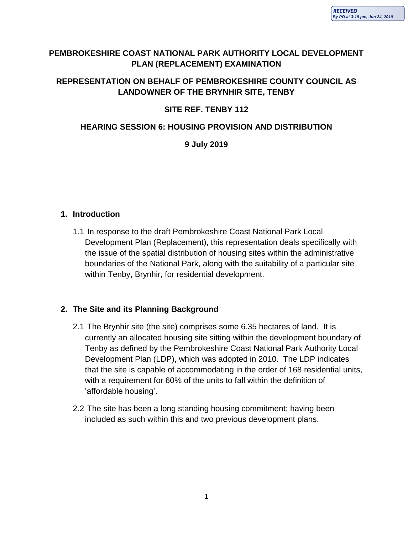# **PEMBROKESHIRE COAST NATIONAL PARK AUTHORITY LOCAL DEVELOPMENT PLAN (REPLACEMENT) EXAMINATION**

# **REPRESENTATION ON BEHALF OF PEMBROKESHIRE COUNTY COUNCIL AS LANDOWNER OF THE BRYNHIR SITE, TENBY**

# **SITE REF. TENBY 112**

### **HEARING SESSION 6: HOUSING PROVISION AND DISTRIBUTION**

#### **9 July 2019**

#### **1. Introduction**

1.1 In response to the draft Pembrokeshire Coast National Park Local Development Plan (Replacement), this representation deals specifically with the issue of the spatial distribution of housing sites within the administrative boundaries of the National Park, along with the suitability of a particular site within Tenby, Brynhir, for residential development.

### **2. The Site and its Planning Background**

- 2.1 The Brynhir site (the site) comprises some 6.35 hectares of land. It is currently an allocated housing site sitting within the development boundary of Tenby as defined by the Pembrokeshire Coast National Park Authority Local Development Plan (LDP), which was adopted in 2010. The LDP indicates that the site is capable of accommodating in the order of 168 residential units, with a requirement for 60% of the units to fall within the definition of 'affordable housing'.
- 2.2 The site has been a long standing housing commitment; having been included as such within this and two previous development plans.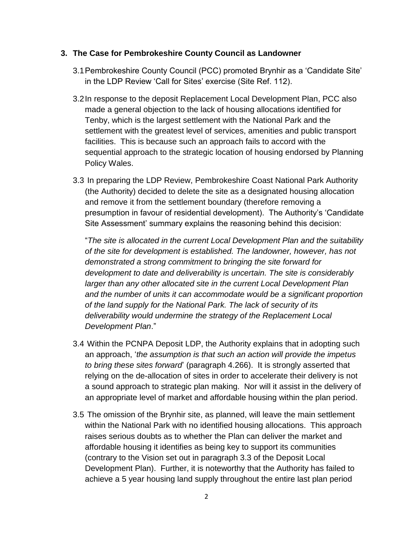#### **3. The Case for Pembrokeshire County Council as Landowner**

- 3.1Pembrokeshire County Council (PCC) promoted Brynhir as a 'Candidate Site' in the LDP Review 'Call for Sites' exercise (Site Ref. 112).
- 3.2In response to the deposit Replacement Local Development Plan, PCC also made a general objection to the lack of housing allocations identified for Tenby, which is the largest settlement with the National Park and the settlement with the greatest level of services, amenities and public transport facilities. This is because such an approach fails to accord with the sequential approach to the strategic location of housing endorsed by Planning Policy Wales.
- 3.3 In preparing the LDP Review, Pembrokeshire Coast National Park Authority (the Authority) decided to delete the site as a designated housing allocation and remove it from the settlement boundary (therefore removing a presumption in favour of residential development). The Authority's 'Candidate Site Assessment' summary explains the reasoning behind this decision:

"*The site is allocated in the current Local Development Plan and the suitability of the site for development is established. The landowner, however, has not demonstrated a strong commitment to bringing the site forward for development to date and deliverability is uncertain. The site is considerably larger than any other allocated site in the current Local Development Plan and the number of units it can accommodate would be a significant proportion of the land supply for the National Park. The lack of security of its deliverability would undermine the strategy of the Replacement Local Development Plan*."

- 3.4 Within the PCNPA Deposit LDP, the Authority explains that in adopting such an approach, '*the assumption is that such an action will provide the impetus to bring these sites forward*' (paragraph 4.266). It is strongly asserted that relying on the de-allocation of sites in order to accelerate their delivery is not a sound approach to strategic plan making. Nor will it assist in the delivery of an appropriate level of market and affordable housing within the plan period.
- 3.5 The omission of the Brynhir site, as planned, will leave the main settlement within the National Park with no identified housing allocations. This approach raises serious doubts as to whether the Plan can deliver the market and affordable housing it identifies as being key to support its communities (contrary to the Vision set out in paragraph 3.3 of the Deposit Local Development Plan). Further, it is noteworthy that the Authority has failed to achieve a 5 year housing land supply throughout the entire last plan period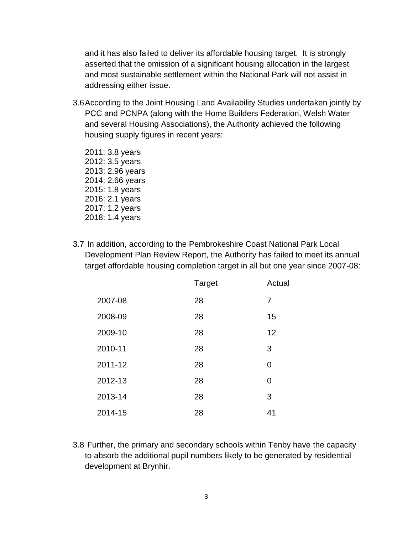and it has also failed to deliver its affordable housing target. It is strongly asserted that the omission of a significant housing allocation in the largest and most sustainable settlement within the National Park will not assist in addressing either issue.

3.6According to the Joint Housing Land Availability Studies undertaken jointly by PCC and PCNPA (along with the Home Builders Federation, Welsh Water and several Housing Associations), the Authority achieved the following housing supply figures in recent years:

2011: 3.8 years 2012: 3.5 years 2013: 2.96 years 2014: 2.66 years 2015: 1.8 years 2016: 2.1 years 2017: 1.2 years 2018: 1.4 years

3.7 In addition, according to the Pembrokeshire Coast National Park Local Development Plan Review Report, the Authority has failed to meet its annual target affordable housing completion target in all but one year since 2007-08:

|         | Target | Actual |
|---------|--------|--------|
| 2007-08 | 28     | 7      |
| 2008-09 | 28     | 15     |
| 2009-10 | 28     | 12     |
| 2010-11 | 28     | 3      |
| 2011-12 | 28     | 0      |
| 2012-13 | 28     | 0      |
| 2013-14 | 28     | 3      |
| 2014-15 | 28     | 41     |

3.8 Further, the primary and secondary schools within Tenby have the capacity to absorb the additional pupil numbers likely to be generated by residential development at Brynhir.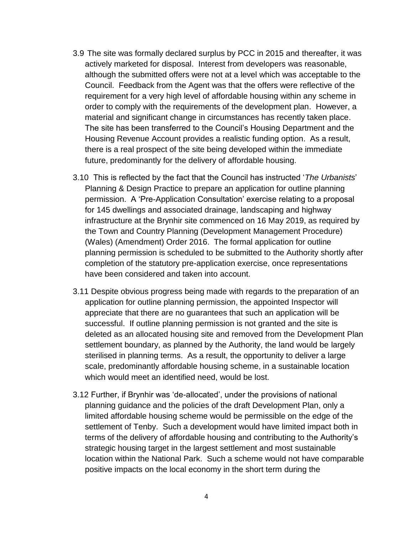- 3.9 The site was formally declared surplus by PCC in 2015 and thereafter, it was actively marketed for disposal. Interest from developers was reasonable, although the submitted offers were not at a level which was acceptable to the Council. Feedback from the Agent was that the offers were reflective of the requirement for a very high level of affordable housing within any scheme in order to comply with the requirements of the development plan. However, a material and significant change in circumstances has recently taken place. The site has been transferred to the Council's Housing Department and the Housing Revenue Account provides a realistic funding option. As a result, there is a real prospect of the site being developed within the immediate future, predominantly for the delivery of affordable housing.
- 3.10 This is reflected by the fact that the Council has instructed '*The Urbanists*' Planning & Design Practice to prepare an application for outline planning permission. A 'Pre-Application Consultation' exercise relating to a proposal for 145 dwellings and associated drainage, landscaping and highway infrastructure at the Brynhir site commenced on 16 May 2019, as required by the Town and Country Planning (Development Management Procedure) (Wales) (Amendment) Order 2016. The formal application for outline planning permission is scheduled to be submitted to the Authority shortly after completion of the statutory pre-application exercise, once representations have been considered and taken into account.
- 3.11 Despite obvious progress being made with regards to the preparation of an application for outline planning permission, the appointed Inspector will appreciate that there are no guarantees that such an application will be successful. If outline planning permission is not granted and the site is deleted as an allocated housing site and removed from the Development Plan settlement boundary, as planned by the Authority, the land would be largely sterilised in planning terms. As a result, the opportunity to deliver a large scale, predominantly affordable housing scheme, in a sustainable location which would meet an identified need, would be lost.
- 3.12 Further, if Brynhir was 'de-allocated', under the provisions of national planning guidance and the policies of the draft Development Plan, only a limited affordable housing scheme would be permissible on the edge of the settlement of Tenby. Such a development would have limited impact both in terms of the delivery of affordable housing and contributing to the Authority's strategic housing target in the largest settlement and most sustainable location within the National Park. Such a scheme would not have comparable positive impacts on the local economy in the short term during the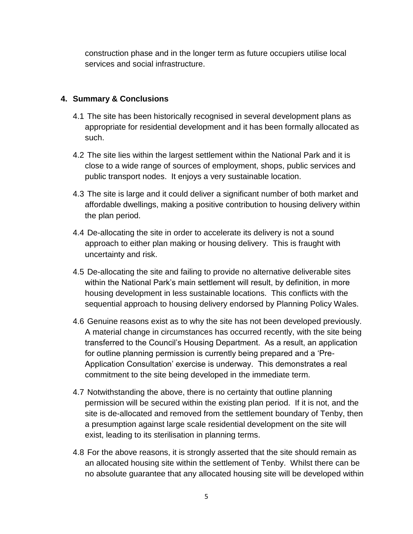construction phase and in the longer term as future occupiers utilise local services and social infrastructure.

### **4. Summary & Conclusions**

- 4.1 The site has been historically recognised in several development plans as appropriate for residential development and it has been formally allocated as such.
- 4.2 The site lies within the largest settlement within the National Park and it is close to a wide range of sources of employment, shops, public services and public transport nodes. It enjoys a very sustainable location.
- 4.3 The site is large and it could deliver a significant number of both market and affordable dwellings, making a positive contribution to housing delivery within the plan period.
- 4.4 De-allocating the site in order to accelerate its delivery is not a sound approach to either plan making or housing delivery. This is fraught with uncertainty and risk.
- 4.5 De-allocating the site and failing to provide no alternative deliverable sites within the National Park's main settlement will result, by definition, in more housing development in less sustainable locations. This conflicts with the sequential approach to housing delivery endorsed by Planning Policy Wales.
- 4.6 Genuine reasons exist as to why the site has not been developed previously. A material change in circumstances has occurred recently, with the site being transferred to the Council's Housing Department. As a result, an application for outline planning permission is currently being prepared and a 'Pre-Application Consultation' exercise is underway. This demonstrates a real commitment to the site being developed in the immediate term.
- 4.7 Notwithstanding the above, there is no certainty that outline planning permission will be secured within the existing plan period. If it is not, and the site is de-allocated and removed from the settlement boundary of Tenby, then a presumption against large scale residential development on the site will exist, leading to its sterilisation in planning terms.
- 4.8 For the above reasons, it is strongly asserted that the site should remain as an allocated housing site within the settlement of Tenby. Whilst there can be no absolute guarantee that any allocated housing site will be developed within